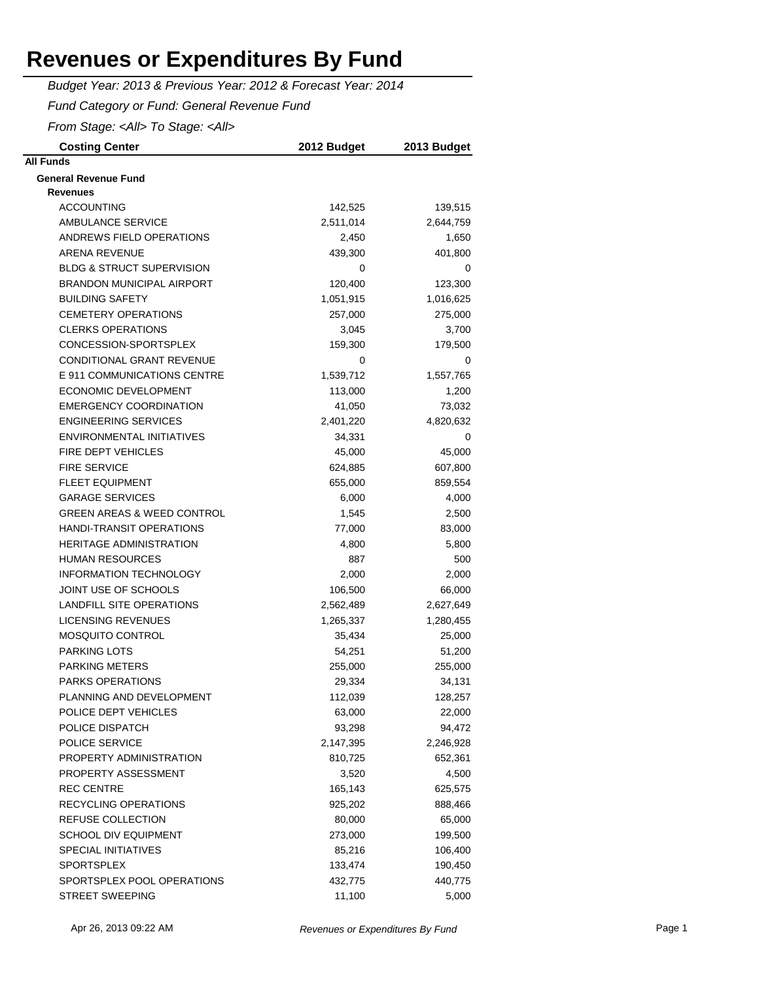*Budget Year: 2013 & Previous Year: 2012 & Forecast Year: 2014*

*Fund Category or Fund: General Revenue Fund*

*From Stage: <All> To Stage: <All>*

| <b>Costing Center</b>                          | 2012 Budget | 2013 Budget |
|------------------------------------------------|-------------|-------------|
| <b>All Funds</b>                               |             |             |
| <b>General Revenue Fund</b><br><b>Revenues</b> |             |             |
| <b>ACCOUNTING</b>                              | 142,525     | 139,515     |
| <b>AMBULANCE SERVICE</b>                       | 2,511,014   | 2,644,759   |
| ANDREWS FIELD OPERATIONS                       | 2,450       | 1,650       |
| <b>ARENA REVENUE</b>                           | 439,300     | 401,800     |
| <b>BLDG &amp; STRUCT SUPERVISION</b>           | 0           | 0           |
| <b>BRANDON MUNICIPAL AIRPORT</b>               | 120,400     | 123,300     |
| <b>BUILDING SAFETY</b>                         | 1,051,915   | 1,016,625   |
| <b>CEMETERY OPERATIONS</b>                     | 257,000     | 275,000     |
| <b>CLERKS OPERATIONS</b>                       | 3,045       | 3,700       |
| CONCESSION-SPORTSPLEX                          | 159,300     | 179,500     |
| CONDITIONAL GRANT REVENUE                      | 0           | 0           |
| E 911 COMMUNICATIONS CENTRE                    | 1,539,712   | 1,557,765   |
| <b>ECONOMIC DEVELOPMENT</b>                    | 113,000     | 1,200       |
| <b>EMERGENCY COORDINATION</b>                  | 41,050      | 73,032      |
| <b>ENGINEERING SERVICES</b>                    | 2,401,220   | 4,820,632   |
| ENVIRONMENTAL INITIATIVES                      | 34,331      | 0           |
| <b>FIRE DEPT VEHICLES</b>                      | 45,000      | 45,000      |
| <b>FIRE SERVICE</b>                            | 624,885     | 607,800     |
| <b>FLEET EQUIPMENT</b>                         | 655,000     | 859,554     |
| <b>GARAGE SERVICES</b>                         | 6,000       | 4,000       |
| <b>GREEN AREAS &amp; WEED CONTROL</b>          | 1,545       | 2,500       |
| <b>HANDI-TRANSIT OPERATIONS</b>                | 77,000      | 83,000      |
| <b>HERITAGE ADMINISTRATION</b>                 | 4,800       | 5,800       |
| <b>HUMAN RESOURCES</b>                         | 887         | 500         |
| <b>INFORMATION TECHNOLOGY</b>                  | 2,000       | 2,000       |
| JOINT USE OF SCHOOLS                           | 106,500     | 66,000      |
| LANDFILL SITE OPERATIONS                       | 2,562,489   | 2,627,649   |
| LICENSING REVENUES                             | 1,265,337   | 1,280,455   |
| <b>MOSQUITO CONTROL</b>                        | 35,434      | 25,000      |
| <b>PARKING LOTS</b>                            | 54,251      | 51,200      |
| <b>PARKING METERS</b>                          | 255,000     | 255,000     |
| <b>PARKS OPERATIONS</b>                        | 29,334      | 34,131      |
| PLANNING AND DEVELOPMENT                       | 112,039     | 128,257     |
| POLICE DEPT VEHICLES                           | 63,000      | 22,000      |
| POLICE DISPATCH                                | 93,298      | 94,472      |
| POLICE SERVICE                                 | 2,147,395   | 2,246,928   |
| PROPERTY ADMINISTRATION                        | 810,725     | 652,361     |
| PROPERTY ASSESSMENT                            | 3,520       | 4,500       |
| <b>REC CENTRE</b>                              | 165,143     | 625,575     |
| <b>RECYCLING OPERATIONS</b>                    | 925,202     | 888,466     |
| REFUSE COLLECTION                              | 80,000      | 65,000      |
| SCHOOL DIV EQUIPMENT                           | 273,000     | 199,500     |
| <b>SPECIAL INITIATIVES</b>                     | 85,216      | 106,400     |
| <b>SPORTSPLEX</b>                              | 133,474     | 190,450     |
| SPORTSPLEX POOL OPERATIONS                     | 432,775     | 440,775     |
| <b>STREET SWEEPING</b>                         | 11,100      | 5,000       |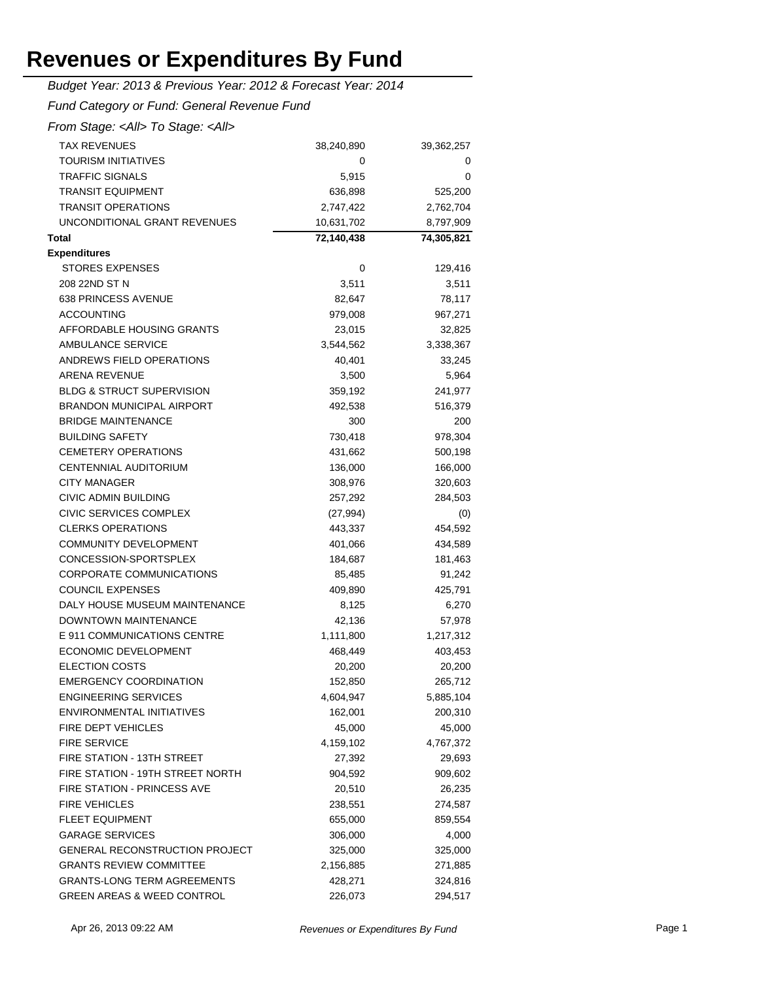| Budget Year: 2013 & Previous Year: 2012 & Forecast Year: 2014 |            |            |  |  |
|---------------------------------------------------------------|------------|------------|--|--|
| Fund Category or Fund: General Revenue Fund                   |            |            |  |  |
| From Stage: <all> To Stage: <all></all></all>                 |            |            |  |  |
| <b>TAX REVENUES</b>                                           | 38,240,890 | 39,362,257 |  |  |
| TOURISM INITIATIVES                                           | 0          | 0          |  |  |
| <b>TRAFFIC SIGNALS</b>                                        | 5,915      | 0          |  |  |
| <b>TRANSIT EQUIPMENT</b>                                      | 636,898    | 525,200    |  |  |
| <b>TRANSIT OPERATIONS</b>                                     | 2,747,422  | 2,762,704  |  |  |
| UNCONDITIONAL GRANT REVENUES                                  | 10,631,702 | 8,797,909  |  |  |
| <b>Total</b>                                                  | 72,140,438 | 74,305,821 |  |  |
| <b>Expenditures</b>                                           |            |            |  |  |
| <b>STORES EXPENSES</b>                                        | 0          | 129,416    |  |  |
| 208 22ND ST N                                                 | 3,511      | 3,511      |  |  |
| 638 PRINCESS AVENUE                                           | 82,647     | 78,117     |  |  |
| <b>ACCOUNTING</b>                                             | 979,008    | 967,271    |  |  |
| AFFORDABLE HOUSING GRANTS                                     | 23,015     | 32,825     |  |  |
| AMBULANCE SERVICE                                             | 3,544,562  | 3,338,367  |  |  |
| ANDREWS FIELD OPERATIONS                                      | 40,401     | 33,245     |  |  |
| ARENA REVENUE                                                 | 3,500      | 5,964      |  |  |
| <b>BLDG &amp; STRUCT SUPERVISION</b>                          | 359,192    | 241,977    |  |  |
| <b>BRANDON MUNICIPAL AIRPORT</b>                              | 492,538    | 516,379    |  |  |
| <b>BRIDGE MAINTENANCE</b>                                     | 300        | 200        |  |  |
| <b>BUILDING SAFETY</b>                                        | 730,418    | 978,304    |  |  |
| <b>CEMETERY OPERATIONS</b>                                    | 431,662    | 500,198    |  |  |
| CENTENNIAL AUDITORIUM                                         | 136,000    | 166,000    |  |  |
| <b>CITY MANAGER</b>                                           | 308,976    | 320,603    |  |  |
| CIVIC ADMIN BUILDING                                          | 257,292    | 284,503    |  |  |
| CIVIC SERVICES COMPLEX                                        | (27, 994)  | (0)        |  |  |
| <b>CLERKS OPERATIONS</b>                                      | 443,337    | 454,592    |  |  |
| COMMUNITY DEVELOPMENT                                         | 401,066    | 434,589    |  |  |
| CONCESSION-SPORTSPLEX                                         | 184,687    | 181,463    |  |  |
| <b>CORPORATE COMMUNICATIONS</b>                               | 85,485     | 91,242     |  |  |
| <b>COUNCIL EXPENSES</b>                                       | 409,890    | 425,791    |  |  |
| DALY HOUSE MUSEUM MAINTENANCE                                 | 8,125      | 6,270      |  |  |
| <b>DOWNTOWN MAINTENANCE</b>                                   | 42,136     | 57,978     |  |  |
| E 911 COMMUNICATIONS CENTRE                                   | 1,111,800  | 1,217,312  |  |  |
| ECONOMIC DEVELOPMENT                                          | 468,449    | 403,453    |  |  |
| <b>ELECTION COSTS</b>                                         | 20,200     | 20,200     |  |  |
| <b>EMERGENCY COORDINATION</b>                                 | 152,850    | 265,712    |  |  |
| <b>ENGINEERING SERVICES</b>                                   | 4,604,947  | 5,885,104  |  |  |
| ENVIRONMENTAL INITIATIVES                                     | 162,001    | 200,310    |  |  |
| FIRE DEPT VEHICLES                                            | 45,000     | 45,000     |  |  |
| <b>FIRE SERVICE</b>                                           | 4,159,102  | 4,767,372  |  |  |
| <b>FIRE STATION - 13TH STREET</b>                             | 27,392     | 29,693     |  |  |
| FIRE STATION - 19TH STREET NORTH                              | 904,592    | 909,602    |  |  |
| <b>FIRE STATION - PRINCESS AVE</b>                            | 20,510     | 26,235     |  |  |
| <b>FIRE VEHICLES</b>                                          | 238,551    | 274,587    |  |  |
| <b>FLEET EQUIPMENT</b>                                        | 655,000    | 859,554    |  |  |
| <b>GARAGE SERVICES</b>                                        | 306,000    | 4,000      |  |  |
| <b>GENERAL RECONSTRUCTION PROJECT</b>                         | 325,000    | 325,000    |  |  |
| <b>GRANTS REVIEW COMMITTEE</b>                                | 2,156,885  | 271,885    |  |  |
| <b>GRANTS-LONG TERM AGREEMENTS</b>                            | 428,271    | 324,816    |  |  |
| <b>GREEN AREAS &amp; WEED CONTROL</b>                         | 226,073    | 294,517    |  |  |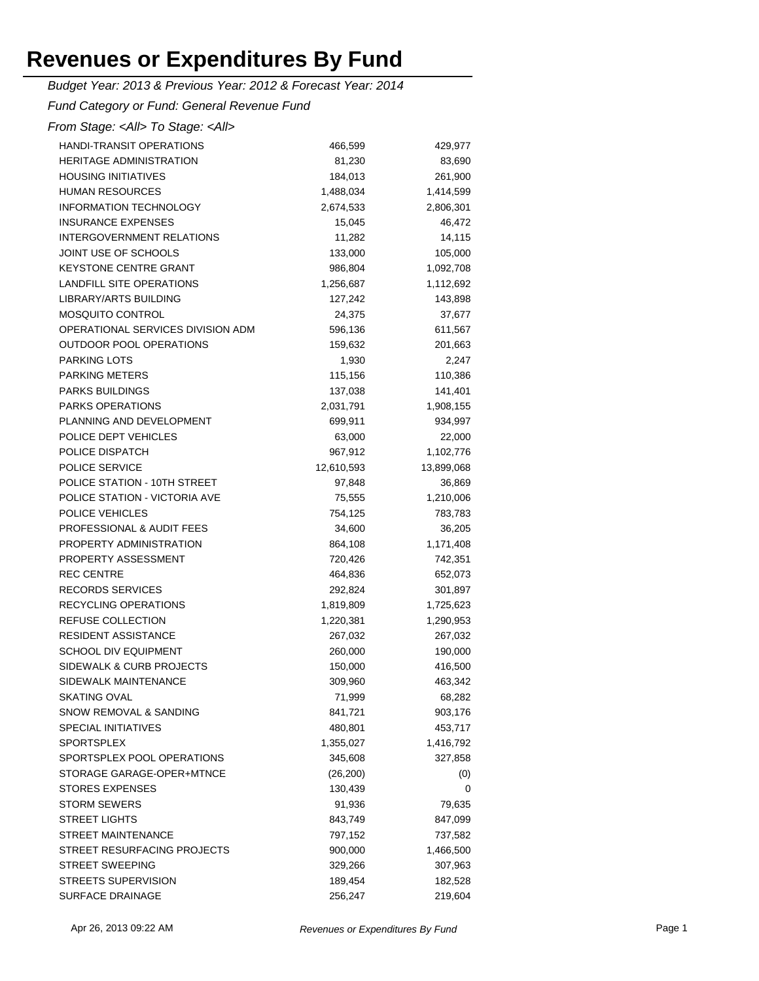*Budget Year: 2013 & Previous Year: 2012 & Forecast Year: 2014*

*Fund Category or Fund: General Revenue Fund*

| <b>HANDI-TRANSIT OPERATIONS</b>   | 466,599    | 429,977    |
|-----------------------------------|------------|------------|
| <b>HERITAGE ADMINISTRATION</b>    | 81,230     | 83,690     |
| <b>HOUSING INITIATIVES</b>        | 184,013    | 261,900    |
| <b>HUMAN RESOURCES</b>            | 1,488,034  | 1,414,599  |
| <b>INFORMATION TECHNOLOGY</b>     | 2,674,533  | 2,806,301  |
| <b>INSURANCE EXPENSES</b>         | 15,045     | 46,472     |
| <b>INTERGOVERNMENT RELATIONS</b>  | 11,282     | 14,115     |
| JOINT USE OF SCHOOLS              | 133,000    | 105,000    |
| <b>KEYSTONE CENTRE GRANT</b>      | 986,804    | 1,092,708  |
| LANDFILL SITE OPERATIONS          | 1,256,687  | 1,112,692  |
| LIBRARY/ARTS BUILDING             | 127,242    | 143,898    |
| <b>MOSQUITO CONTROL</b>           | 24,375     | 37,677     |
| OPERATIONAL SERVICES DIVISION ADM | 596,136    | 611,567    |
| OUTDOOR POOL OPERATIONS           | 159,632    | 201,663    |
| <b>PARKING LOTS</b>               | 1,930      | 2,247      |
| <b>PARKING METERS</b>             | 115,156    | 110,386    |
| <b>PARKS BUILDINGS</b>            | 137,038    | 141,401    |
| <b>PARKS OPERATIONS</b>           | 2,031,791  | 1,908,155  |
| PLANNING AND DEVELOPMENT          | 699,911    | 934,997    |
| POLICE DEPT VEHICLES              | 63,000     | 22,000     |
| POLICE DISPATCH                   | 967,912    | 1,102,776  |
| <b>POLICE SERVICE</b>             | 12,610,593 | 13,899,068 |
| POLICE STATION - 10TH STREET      | 97,848     | 36,869     |
| POLICE STATION - VICTORIA AVE     | 75,555     | 1,210,006  |
| POLICE VEHICLES                   | 754,125    | 783,783    |
| PROFESSIONAL & AUDIT FEES         | 34,600     | 36,205     |
| PROPERTY ADMINISTRATION           | 864,108    | 1,171,408  |
| PROPERTY ASSESSMENT               | 720,426    | 742,351    |
| <b>REC CENTRE</b>                 | 464,836    | 652,073    |
| <b>RECORDS SERVICES</b>           | 292,824    | 301,897    |
| <b>RECYCLING OPERATIONS</b>       | 1,819,809  | 1,725,623  |
| <b>REFUSE COLLECTION</b>          | 1,220,381  | 1,290,953  |
| <b>RESIDENT ASSISTANCE</b>        | 267,032    | 267,032    |
| <b>SCHOOL DIV EQUIPMENT</b>       | 260,000    | 190,000    |
| SIDEWALK & CURB PROJECTS          | 150,000    | 416,500    |
| SIDEWALK MAINTENANCE              | 309,960    | 463,342    |
| <b>SKATING OVAL</b>               | 71,999     | 68,282     |
| SNOW REMOVAL & SANDING            | 841,721    | 903,176    |
| <b>SPECIAL INITIATIVES</b>        | 480,801    | 453,717    |
| <b>SPORTSPLEX</b>                 | 1,355,027  | 1,416,792  |
| SPORTSPLEX POOL OPERATIONS        | 345,608    | 327,858    |
| STORAGE GARAGE-OPER+MTNCE         | (26, 200)  | (0)        |
| <b>STORES EXPENSES</b>            | 130,439    | 0          |
| <b>STORM SEWERS</b>               | 91,936     | 79,635     |
| <b>STREET LIGHTS</b>              | 843,749    | 847,099    |
| <b>STREET MAINTENANCE</b>         | 797,152    | 737,582    |
| STREET RESURFACING PROJECTS       | 900,000    | 1,466,500  |
| <b>STREET SWEEPING</b>            | 329,266    | 307,963    |
| <b>STREETS SUPERVISION</b>        | 189,454    | 182,528    |
| SURFACE DRAINAGE                  | 256,247    | 219,604    |